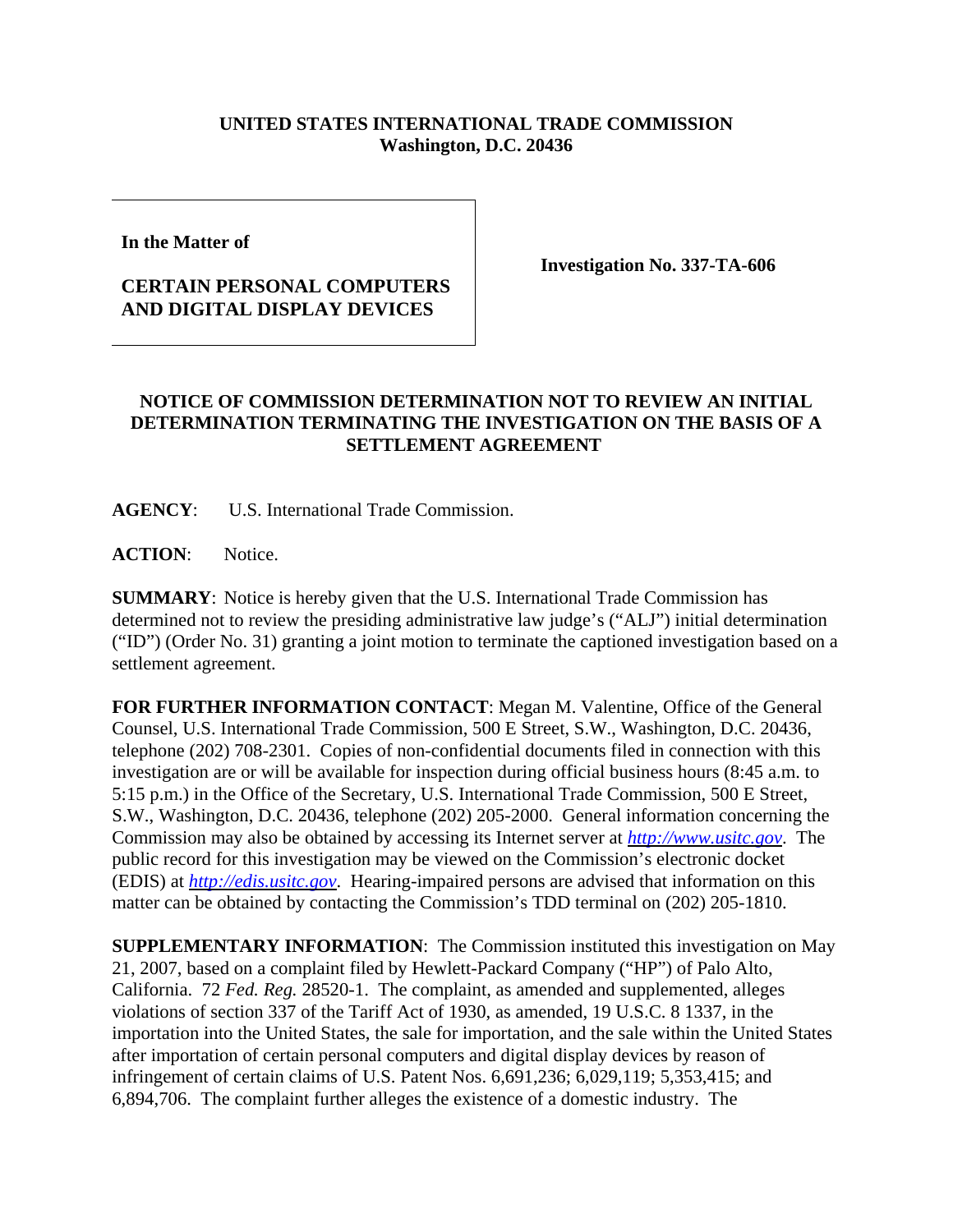## **UNITED STATES INTERNATIONAL TRADE COMMISSION Washington, D.C. 20436**

**In the Matter of** 

## **CERTAIN PERSONAL COMPUTERS AND DIGITAL DISPLAY DEVICES**

**Investigation No. 337-TA-606**

## **NOTICE OF COMMISSION DETERMINATION NOT TO REVIEW AN INITIAL DETERMINATION TERMINATING THE INVESTIGATION ON THE BASIS OF A SETTLEMENT AGREEMENT**

**AGENCY**: U.S. International Trade Commission.

**ACTION**: Notice.

**SUMMARY**: Notice is hereby given that the U.S. International Trade Commission has determined not to review the presiding administrative law judge's ("ALJ") initial determination ("ID") (Order No. 31) granting a joint motion to terminate the captioned investigation based on a settlement agreement.

**FOR FURTHER INFORMATION CONTACT**: Megan M. Valentine, Office of the General Counsel, U.S. International Trade Commission, 500 E Street, S.W., Washington, D.C. 20436, telephone (202) 708-2301. Copies of non-confidential documents filed in connection with this investigation are or will be available for inspection during official business hours (8:45 a.m. to 5:15 p.m.) in the Office of the Secretary, U.S. International Trade Commission, 500 E Street, S.W., Washington, D.C. 20436, telephone (202) 205-2000. General information concerning the Commission may also be obtained by accessing its Internet server at *http://www.usitc.gov*. The public record for this investigation may be viewed on the Commission's electronic docket (EDIS) at *http://edis.usitc.gov*. Hearing-impaired persons are advised that information on this matter can be obtained by contacting the Commission's TDD terminal on (202) 205-1810.

**SUPPLEMENTARY INFORMATION**: The Commission instituted this investigation on May 21, 2007, based on a complaint filed by Hewlett-Packard Company ("HP") of Palo Alto, California. 72 *Fed. Reg.* 28520-1. The complaint, as amended and supplemented, alleges violations of section 337 of the Tariff Act of 1930, as amended, 19 U.S.C. 8 1337, in the importation into the United States, the sale for importation, and the sale within the United States after importation of certain personal computers and digital display devices by reason of infringement of certain claims of U.S. Patent Nos. 6,691,236; 6,029,119; 5,353,415; and 6,894,706. The complaint further alleges the existence of a domestic industry. The